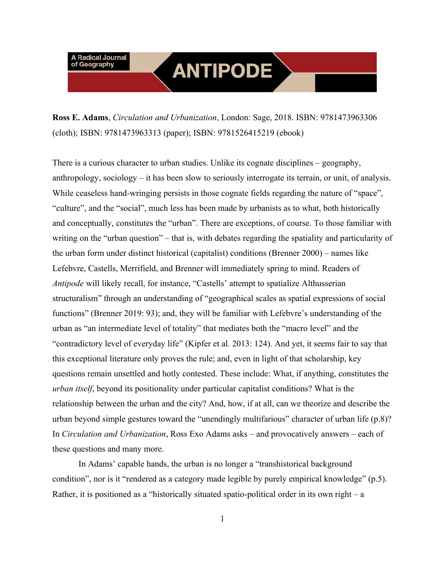# **ANTIPODE**

**Ross E. Adams**, *Circulation and Urbanization*, London: Sage, 2018. ISBN: 9781473963306 (cloth); ISBN: 9781473963313 (paper); ISBN: 9781526415219 (ebook)

There is a curious character to urban studies. Unlike its cognate disciplines – geography, anthropology, sociology – it has been slow to seriously interrogate its terrain, or unit, of analysis. While ceaseless hand-wringing persists in those cognate fields regarding the nature of "space", "culture", and the "social", much less has been made by urbanists as to what, both historically and conceptually, constitutes the "urban". There are exceptions, of course. To those familiar with writing on the "urban question" – that is, with debates regarding the spatiality and particularity of the urban form under distinct historical (capitalist) conditions (Brenner 2000) – names like Lefebvre, Castells, Merrifield, and Brenner will immediately spring to mind. Readers of *Antipode* will likely recall, for instance, "Castells' attempt to spatialize Althusserian structuralism" through an understanding of "geographical scales as spatial expressions of social functions" (Brenner 2019: 93); and, they will be familiar with Lefebvre's understanding of the urban as "an intermediate level of totality" that mediates both the "macro level" and the "contradictory level of everyday life" (Kipfer et al. 2013: 124). And yet, it seems fair to say that this exceptional literature only proves the rule; and, even in light of that scholarship, key questions remain unsettled and hotly contested. These include: What, if anything, constitutes the *urban itself*, beyond its positionality under particular capitalist conditions? What is the relationship between the urban and the city? And, how, if at all, can we theorize and describe the urban beyond simple gestures toward the "unendingly multifarious" character of urban life (p.8)? In *Circulation and Urbanization*, Ross Exo Adams asks – and provocatively answers – each of these questions and many more.

In Adams' capable hands, the urban is no longer a "transhistorical background condition", nor is it "rendered as a category made legible by purely empirical knowledge" (p.5). Rather, it is positioned as a "historically situated spatio-political order in its own right – a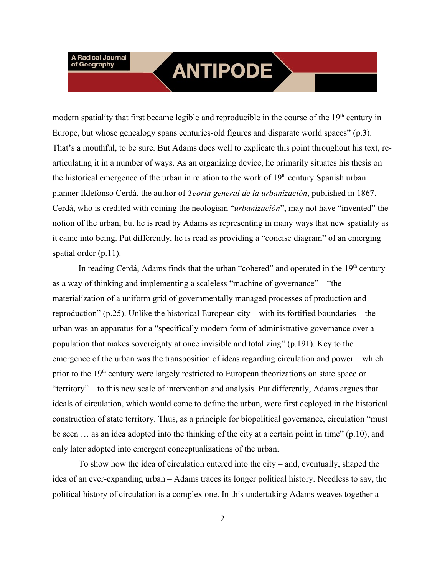## **ANTIPODE**

modern spatiality that first became legible and reproducible in the course of the  $19<sup>th</sup>$  century in Europe, but whose genealogy spans centuries-old figures and disparate world spaces" (p.3). That's a mouthful, to be sure. But Adams does well to explicate this point throughout his text, rearticulating it in a number of ways. As an organizing device, he primarily situates his thesis on the historical emergence of the urban in relation to the work of  $19<sup>th</sup>$  century Spanish urban planner Ildefonso Cerdá, the author of *Teoría general de la urbanización*, published in 1867. Cerdá, who is credited with coining the neologism "*urbanización*", may not have "invented" the notion of the urban, but he is read by Adams as representing in many ways that new spatiality as it came into being. Put differently, he is read as providing a "concise diagram" of an emerging spatial order (p.11).

In reading Cerdá, Adams finds that the urban "cohered" and operated in the  $19<sup>th</sup>$  century as a way of thinking and implementing a scaleless "machine of governance" – "the materialization of a uniform grid of governmentally managed processes of production and reproduction" (p.25). Unlike the historical European city – with its fortified boundaries – the urban was an apparatus for a "specifically modern form of administrative governance over a population that makes sovereignty at once invisible and totalizing" (p.191). Key to the emergence of the urban was the transposition of ideas regarding circulation and power – which prior to the  $19<sup>th</sup>$  century were largely restricted to European theorizations on state space or "territory" – to this new scale of intervention and analysis. Put differently, Adams argues that ideals of circulation, which would come to define the urban, were first deployed in the historical construction of state territory. Thus, as a principle for biopolitical governance, circulation "must be seen ... as an idea adopted into the thinking of the city at a certain point in time" (p.10), and only later adopted into emergent conceptualizations of the urban.

To show how the idea of circulation entered into the city – and, eventually, shaped the idea of an ever-expanding urban – Adams traces its longer political history. Needless to say, the political history of circulation is a complex one. In this undertaking Adams weaves together a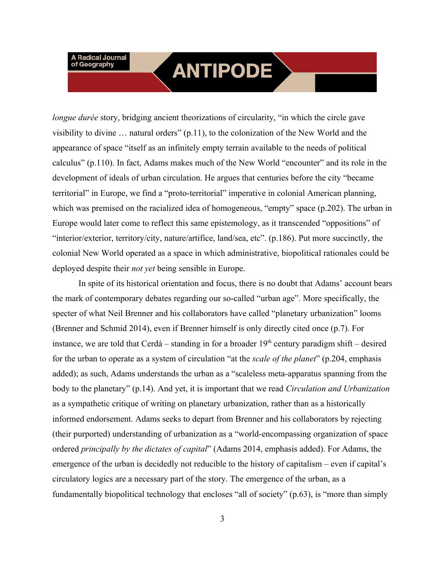### **ANTIPODE**

*longue durée* story, bridging ancient theorizations of circularity, "in which the circle gave visibility to divine … natural orders" (p.11), to the colonization of the New World and the appearance of space "itself as an infinitely empty terrain available to the needs of political calculus" (p.110). In fact, Adams makes much of the New World "encounter" and its role in the development of ideals of urban circulation. He argues that centuries before the city "became territorial" in Europe, we find a "proto-territorial" imperative in colonial American planning, which was premised on the racialized idea of homogeneous, "empty" space (p.202). The urban in Europe would later come to reflect this same epistemology, as it transcended "oppositions" of "interior/exterior, territory/city, nature/artifice, land/sea, etc". (p.186). Put more succinctly, the colonial New World operated as a space in which administrative, biopolitical rationales could be deployed despite their *not yet* being sensible in Europe.

In spite of its historical orientation and focus, there is no doubt that Adams' account bears the mark of contemporary debates regarding our so-called "urban age". More specifically, the specter of what Neil Brenner and his collaborators have called "planetary urbanization" looms (Brenner and Schmid 2014), even if Brenner himself is only directly cited once (p.7). For instance, we are told that Cerdá – standing in for a broader  $19<sup>th</sup>$  century paradigm shift – desired for the urban to operate as a system of circulation "at the *scale of the planet*" (p.204, emphasis added); as such, Adams understands the urban as a "scaleless meta-apparatus spanning from the body to the planetary" (p.14). And yet, it is important that we read *Circulation and Urbanization* as a sympathetic critique of writing on planetary urbanization, rather than as a historically informed endorsement. Adams seeks to depart from Brenner and his collaborators by rejecting (their purported) understanding of urbanization as a "world-encompassing organization of space ordered *principally by the dictates of capital*" (Adams 2014, emphasis added). For Adams, the emergence of the urban is decidedly not reducible to the history of capitalism – even if capital's circulatory logics are a necessary part of the story. The emergence of the urban, as a fundamentally biopolitical technology that encloses "all of society" (p.63), is "more than simply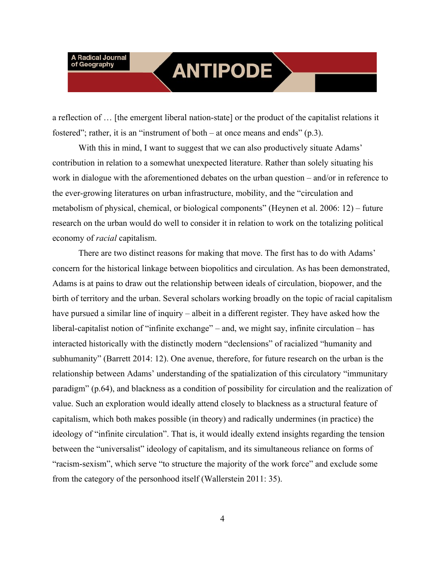## **ANTIPODE**

a reflection of … [the emergent liberal nation-state] or the product of the capitalist relations it fostered"; rather, it is an "instrument of both – at once means and ends" (p.3).

With this in mind, I want to suggest that we can also productively situate Adams' contribution in relation to a somewhat unexpected literature. Rather than solely situating his work in dialogue with the aforementioned debates on the urban question – and/or in reference to the ever-growing literatures on urban infrastructure, mobility, and the "circulation and metabolism of physical, chemical, or biological components" (Heynen et al. 2006: 12) – future research on the urban would do well to consider it in relation to work on the totalizing political economy of *racial* capitalism.

There are two distinct reasons for making that move. The first has to do with Adams' concern for the historical linkage between biopolitics and circulation. As has been demonstrated, Adams is at pains to draw out the relationship between ideals of circulation, biopower, and the birth of territory and the urban. Several scholars working broadly on the topic of racial capitalism have pursued a similar line of inquiry – albeit in a different register. They have asked how the liberal-capitalist notion of "infinite exchange" – and, we might say, infinite circulation – has interacted historically with the distinctly modern "declensions" of racialized "humanity and subhumanity" (Barrett 2014: 12). One avenue, therefore, for future research on the urban is the relationship between Adams' understanding of the spatialization of this circulatory "immunitary paradigm" (p.64), and blackness as a condition of possibility for circulation and the realization of value. Such an exploration would ideally attend closely to blackness as a structural feature of capitalism, which both makes possible (in theory) and radically undermines (in practice) the ideology of "infinite circulation". That is, it would ideally extend insights regarding the tension between the "universalist" ideology of capitalism, and its simultaneous reliance on forms of "racism-sexism", which serve "to structure the majority of the work force" and exclude some from the category of the personhood itself (Wallerstein 2011: 35).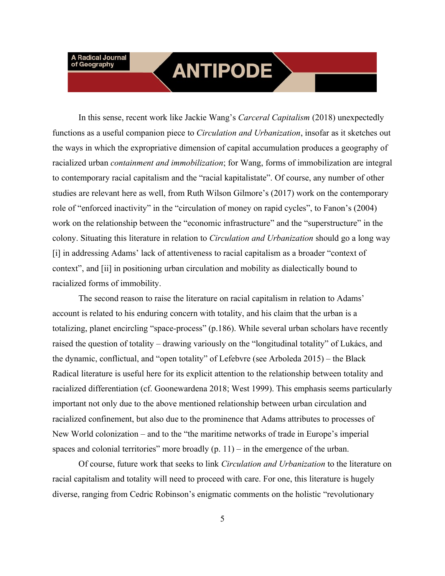### **ANTIPODE**

In this sense, recent work like Jackie Wang's *Carceral Capitalism* (2018) unexpectedly functions as a useful companion piece to *Circulation and Urbanization*, insofar as it sketches out the ways in which the expropriative dimension of capital accumulation produces a geography of racialized urban *containment and immobilization*; for Wang, forms of immobilization are integral to contemporary racial capitalism and the "racial kapitalistate". Of course, any number of other studies are relevant here as well, from Ruth Wilson Gilmore's (2017) work on the contemporary role of "enforced inactivity" in the "circulation of money on rapid cycles", to Fanon's (2004) work on the relationship between the "economic infrastructure" and the "superstructure" in the colony. Situating this literature in relation to *Circulation and Urbanization* should go a long way [i] in addressing Adams' lack of attentiveness to racial capitalism as a broader "context of context", and [ii] in positioning urban circulation and mobility as dialectically bound to racialized forms of immobility.

The second reason to raise the literature on racial capitalism in relation to Adams' account is related to his enduring concern with totality, and his claim that the urban is a totalizing, planet encircling "space-process" (p.186). While several urban scholars have recently raised the question of totality – drawing variously on the "longitudinal totality" of Lukács, and the dynamic, conflictual, and "open totality" of Lefebvre (see Arboleda 2015) – the Black Radical literature is useful here for its explicit attention to the relationship between totality and racialized differentiation (cf. Goonewardena 2018; West 1999). This emphasis seems particularly important not only due to the above mentioned relationship between urban circulation and racialized confinement, but also due to the prominence that Adams attributes to processes of New World colonization – and to the "the maritime networks of trade in Europe's imperial spaces and colonial territories" more broadly  $(p, 11)$  – in the emergence of the urban.

Of course, future work that seeks to link *Circulation and Urbanization* to the literature on racial capitalism and totality will need to proceed with care. For one, this literature is hugely diverse, ranging from Cedric Robinson's enigmatic comments on the holistic "revolutionary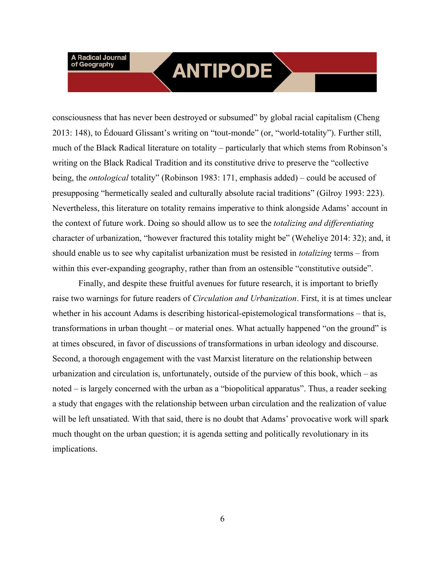## **ANTIPODE**

consciousness that has never been destroyed or subsumed" by global racial capitalism (Cheng 2013: 148), to Édouard Glissant's writing on "tout-monde" (or, "world-totality"). Further still, much of the Black Radical literature on totality – particularly that which stems from Robinson's writing on the Black Radical Tradition and its constitutive drive to preserve the "collective being, the *ontological* totality" (Robinson 1983: 171, emphasis added) – could be accused of presupposing "hermetically sealed and culturally absolute racial traditions" (Gilroy 1993: 223). Nevertheless, this literature on totality remains imperative to think alongside Adams' account in the context of future work. Doing so should allow us to see the *totalizing and differentiating* character of urbanization, "however fractured this totality might be" (Weheliye 2014: 32); and, it should enable us to see why capitalist urbanization must be resisted in *totalizing* terms – from within this ever-expanding geography, rather than from an ostensible "constitutive outside".

Finally, and despite these fruitful avenues for future research, it is important to briefly raise two warnings for future readers of *Circulation and Urbanization*. First, it is at times unclear whether in his account Adams is describing historical-epistemological transformations – that is, transformations in urban thought – or material ones. What actually happened "on the ground" is at times obscured, in favor of discussions of transformations in urban ideology and discourse. Second, a thorough engagement with the vast Marxist literature on the relationship between urbanization and circulation is, unfortunately, outside of the purview of this book, which  $-$  as noted – is largely concerned with the urban as a "biopolitical apparatus". Thus, a reader seeking a study that engages with the relationship between urban circulation and the realization of value will be left unsatiated. With that said, there is no doubt that Adams' provocative work will spark much thought on the urban question; it is agenda setting and politically revolutionary in its implications.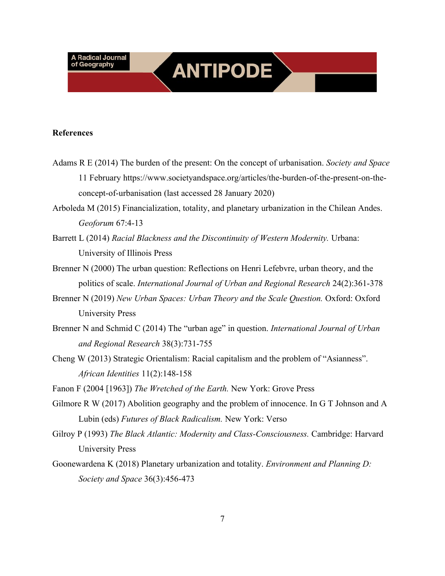#### **References**

- Adams R E (2014) The burden of the present: On the concept of urbanisation. *Society and Space* 11 February https://www.societyandspace.org/articles/the-burden-of-the-present-on-theconcept-of-urbanisation (last accessed 28 January 2020)
- Arboleda M (2015) Financialization, totality, and planetary urbanization in the Chilean Andes. *Geoforum* 67:4-13
- Barrett L (2014) *Racial Blackness and the Discontinuity of Western Modernity.* Urbana: University of Illinois Press
- Brenner N (2000) The urban question: Reflections on Henri Lefebvre, urban theory, and the politics of scale. *International Journal of Urban and Regional Research* 24(2):361-378
- Brenner N (2019) *New Urban Spaces: Urban Theory and the Scale Question.* Oxford: Oxford University Press
- Brenner N and Schmid C (2014) The "urban age" in question. *International Journal of Urban and Regional Research* 38(3):731-755
- Cheng W (2013) Strategic Orientalism: Racial capitalism and the problem of "Asianness". *African Identities* 11(2):148-158
- Fanon F (2004 [1963]) *The Wretched of the Earth.* New York: Grove Press
- Gilmore R W (2017) Abolition geography and the problem of innocence. In G T Johnson and A Lubin (eds) *Futures of Black Radicalism.* New York: Verso
- Gilroy P (1993) *The Black Atlantic: Modernity and Class-Consciousness.* Cambridge: Harvard University Press
- Goonewardena K (2018) Planetary urbanization and totality. *Environment and Planning D: Society and Space* 36(3):456-473